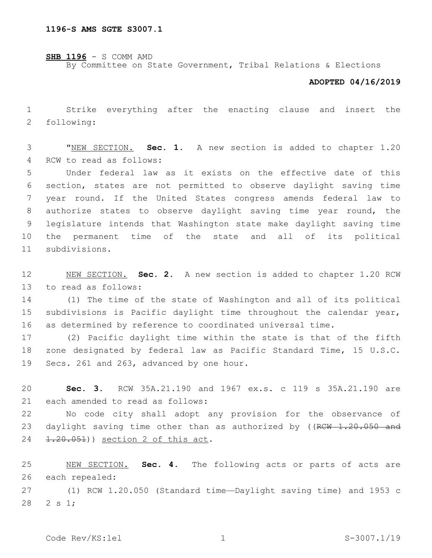**SHB 1196** - S COMM AMD

By Committee on State Government, Tribal Relations & Elections

## **ADOPTED 04/16/2019**

1 Strike everything after the enacting clause and insert the 2 following:

3 "NEW SECTION. **Sec. 1.** A new section is added to chapter 1.20 4 RCW to read as follows:

 Under federal law as it exists on the effective date of this section, states are not permitted to observe daylight saving time year round. If the United States congress amends federal law to authorize states to observe daylight saving time year round, the legislature intends that Washington state make daylight saving time the permanent time of the state and all of its political subdivisions.11

12 NEW SECTION. **Sec. 2.** A new section is added to chapter 1.20 RCW 13 to read as follows:

14 (1) The time of the state of Washington and all of its political 15 subdivisions is Pacific daylight time throughout the calendar year, 16 as determined by reference to coordinated universal time.

17 (2) Pacific daylight time within the state is that of the fifth 18 zone designated by federal law as Pacific Standard Time, 15 U.S.C. 19 Secs. 261 and 263, advanced by one hour.

20 **Sec. 3.** RCW 35A.21.190 and 1967 ex.s. c 119 s 35A.21.190 are 21 each amended to read as follows:

22 No code city shall adopt any provision for the observance of 23 daylight saving time other than as authorized by ((RCW 1.20.050 and 24 1.20.051)) section 2 of this act.

25 NEW SECTION. **Sec. 4.** The following acts or parts of acts are 26 each repealed:

27 (1) RCW 1.20.050 (Standard time—Daylight saving time) and 1953 c 28 2 s 1;